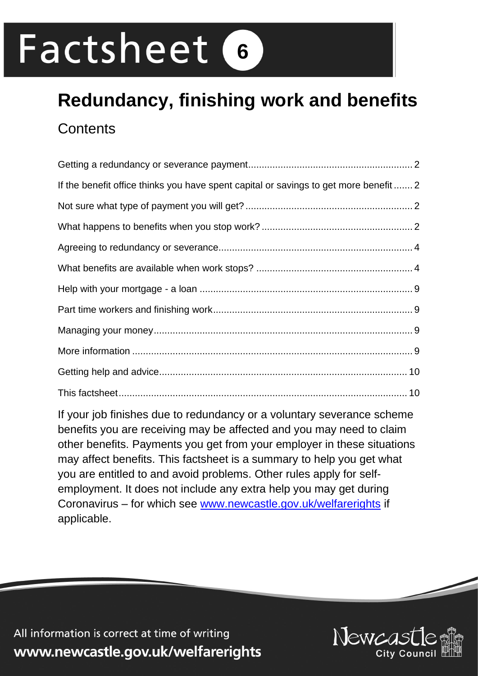# Factsheet **6**

# **Redundancy, finishing work and benefits**

### **Contents**

| If the benefit office thinks you have spent capital or savings to get more benefit  2 |
|---------------------------------------------------------------------------------------|
|                                                                                       |
|                                                                                       |
|                                                                                       |
|                                                                                       |
|                                                                                       |
|                                                                                       |
|                                                                                       |
|                                                                                       |
|                                                                                       |
|                                                                                       |

If your job finishes due to redundancy or a voluntary severance scheme benefits you are receiving may be affected and you may need to claim other benefits. Payments you get from your employer in these situations may affect benefits. This factsheet is a summary to help you get what you are entitled to and avoid problems. Other rules apply for selfemployment. It does not include any extra help you may get during Coronavirus – for which see [www.newcastle.gov.uk/welfarerights](http://www.newcastle.gov.uk/welfarerights) if applicable.

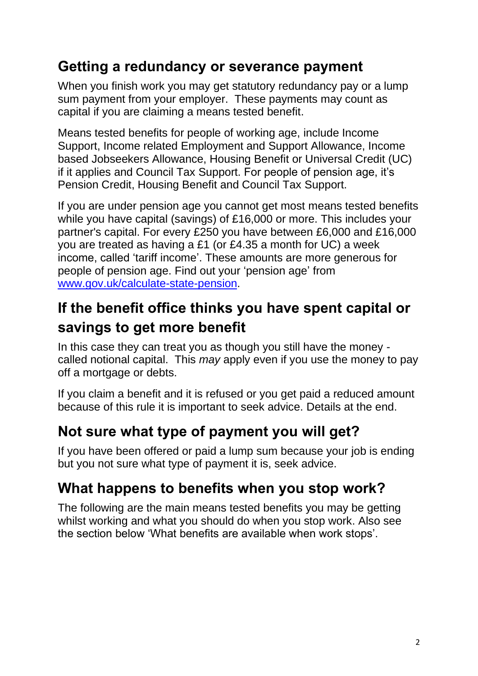### <span id="page-1-0"></span>**Getting a redundancy or severance payment**

When you finish work you may get statutory redundancy pay or a lump sum payment from your employer. These payments may count as capital if you are claiming a means tested benefit.

Means tested benefits for people of working age, include Income Support, Income related Employment and Support Allowance, Income based Jobseekers Allowance, Housing Benefit or Universal Credit (UC) if it applies and Council Tax Support. For people of pension age, it's Pension Credit, Housing Benefit and Council Tax Support.

If you are under pension age you cannot get most means tested benefits while you have capital (savings) of £16,000 or more. This includes your partner's capital. For every £250 you have between £6,000 and £16,000 you are treated as having a £1 (or £4.35 a month for UC) a week income, called 'tariff income'. These amounts are more generous for people of pension age. Find out your 'pension age' from [www.gov.uk/calculate-state-pension.](http://www.gov.uk/calculate-state-pension)

# <span id="page-1-1"></span>**If the benefit office thinks you have spent capital or savings to get more benefit**

In this case they can treat you as though you still have the money called notional capital. This *may* apply even if you use the money to pay off a mortgage or debts.

If you claim a benefit and it is refused or you get paid a reduced amount because of this rule it is important to seek advice. Details at the end.

# <span id="page-1-2"></span>**Not sure what type of payment you will get?**

If you have been offered or paid a lump sum because your job is ending but you not sure what type of payment it is, seek advice.

### <span id="page-1-3"></span>**What happens to benefits when you stop work?**

The following are the main means tested benefits you may be getting whilst working and what you should do when you stop work. Also see the section below 'What benefits are available when work stops'.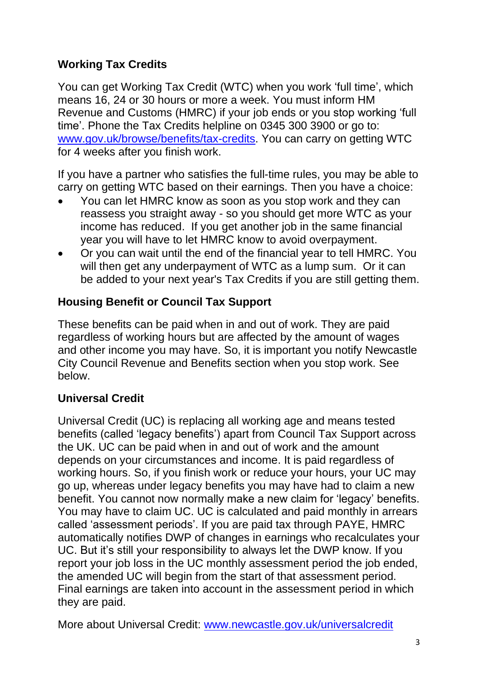#### **Working Tax Credits**

You can get Working Tax Credit (WTC) when you work 'full time', which means 16, 24 or 30 hours or more a week. You must inform HM Revenue and Customs (HMRC) if your job ends or you stop working 'full time'. Phone the Tax Credits helpline on 0345 300 3900 or go to: [www.gov.uk/browse/benefits/tax-credits.](http://www.gov.uk/browse/benefits/tax-credits) You can carry on getting WTC for 4 weeks after you finish work.

If you have a partner who satisfies the full-time rules, you may be able to carry on getting WTC based on their earnings. Then you have a choice:

- You can let HMRC know as soon as you stop work and they can reassess you straight away - so you should get more WTC as your income has reduced. If you get another job in the same financial year you will have to let HMRC know to avoid overpayment.
- Or you can wait until the end of the financial year to tell HMRC. You will then get any underpayment of WTC as a lump sum. Or it can be added to your next year's Tax Credits if you are still getting them.

#### **Housing Benefit or Council Tax Support**

These benefits can be paid when in and out of work. They are paid regardless of working hours but are affected by the amount of wages and other income you may have. So, it is important you notify Newcastle City Council Revenue and Benefits section when you stop work. See below.

#### **Universal Credit**

Universal Credit (UC) is replacing all working age and means tested benefits (called 'legacy benefits') apart from Council Tax Support across the UK. UC can be paid when in and out of work and the amount depends on your circumstances and income. It is paid regardless of working hours. So, if you finish work or reduce your hours, your UC may go up, whereas under legacy benefits you may have had to claim a new benefit. You cannot now normally make a new claim for 'legacy' benefits. You may have to claim UC. UC is calculated and paid monthly in arrears called 'assessment periods'. If you are paid tax through PAYE, HMRC automatically notifies DWP of changes in earnings who recalculates your UC. But it's still your responsibility to always let the DWP know. If you report your job loss in the UC monthly assessment period the job ended, the amended UC will begin from the start of that assessment period. Final earnings are taken into account in the assessment period in which they are paid.

More about Universal Credit: [www.newcastle.gov.uk/universalcredit](http://www.newcastle.gov.uk/universalcredit)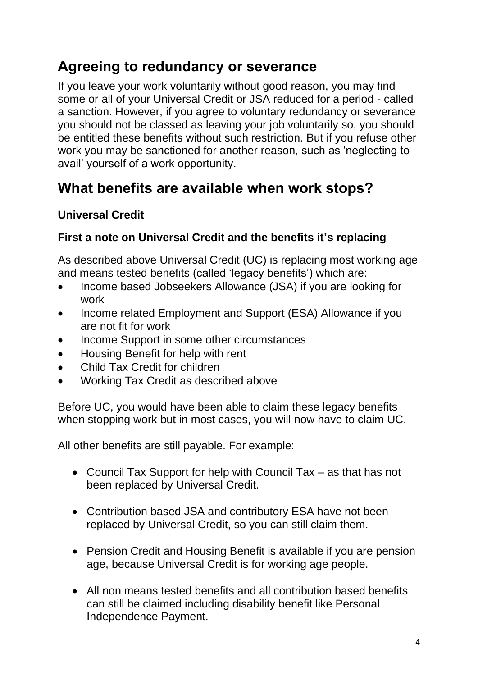### <span id="page-3-0"></span>**Agreeing to redundancy or severance**

If you leave your work voluntarily without good reason, you may find some or all of your Universal Credit or JSA reduced for a period - called a sanction. However, if you agree to voluntary redundancy or severance you should not be classed as leaving your job voluntarily so, you should be entitled these benefits without such restriction. But if you refuse other work you may be sanctioned for another reason, such as 'neglecting to avail' yourself of a work opportunity.

### <span id="page-3-1"></span>**What benefits are available when work stops?**

#### **Universal Credit**

#### **First a note on Universal Credit and the benefits it's replacing**

As described above Universal Credit (UC) is replacing most working age and means tested benefits (called 'legacy benefits') which are:

- Income based Jobseekers Allowance (JSA) if you are looking for work
- Income related Employment and Support (ESA) Allowance if you are not fit for work
- Income Support in some other circumstances
- Housing Benefit for help with rent
- Child Tax Credit for children
- Working Tax Credit as described above

Before UC, you would have been able to claim these legacy benefits when stopping work but in most cases, you will now have to claim UC.

All other benefits are still payable. For example:

- Council Tax Support for help with Council Tax as that has not been replaced by Universal Credit.
- Contribution based JSA and contributory ESA have not been replaced by Universal Credit, so you can still claim them.
- Pension Credit and Housing Benefit is available if you are pension age, because Universal Credit is for working age people.
- All non means tested benefits and all contribution based benefits can still be claimed including disability benefit like Personal Independence Payment.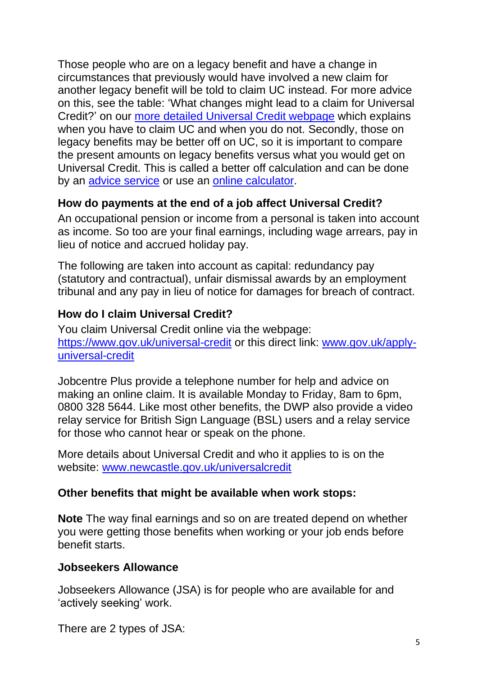Those people who are on a legacy benefit and have a change in circumstances that previously would have involved a new claim for another legacy benefit will be told to claim UC instead. For more advice on this, see the table: 'What changes might lead to a claim for Universal Credit?' on our [more detailed Universal Credit webpage](https://www.newcastle.gov.uk/services/benefits/welfare-rights-and-money-advice/changes-benefits-system/universal-credit-more) which explains when you have to claim UC and when you do not. Secondly, those on legacy benefits may be better off on UC, so it is important to compare the present amounts on legacy benefits versus what you would get on Universal Credit. This is called a better off calculation and can be done by an [advice service](https://www.newcastle.gov.uk/services/welfare-benefits/welfare-rights-and-money-advice/benefit-advice-services-newcastle-and) or use an [online calculator.](https://www.newcastle.gov.uk/services/welfare-benefits/welfare-rights-and-money-advice/check-your-entitlement-benefits-online)

#### **How do payments at the end of a job affect Universal Credit?**

An occupational pension or income from a personal is taken into account as income. So too are your final earnings, including wage arrears, pay in lieu of notice and accrued holiday pay.

The following are taken into account as capital: redundancy pay (statutory and contractual), unfair dismissal awards by an employment tribunal and any pay in lieu of notice for damages for breach of contract.

#### **How do I claim Universal Credit?**

You claim Universal Credit online via the webpage: <https://www.gov.uk/universal-credit> or this direct link: [www.gov.uk/apply](http://www.gov.uk/apply-universal-credit)[universal-credit](http://www.gov.uk/apply-universal-credit)

Jobcentre Plus provide a telephone number for help and advice on making an online claim. It is available Monday to Friday, 8am to 6pm, 0800 328 5644. Like most other benefits, the DWP also provide a video relay service for British Sign Language (BSL) users and a relay service for those who cannot hear or speak on the phone.

More details about Universal Credit and who it applies to is on the website: [www.newcastle.gov.uk/universalcredit](http://www.newcastle.gov.uk/universalcredit)

#### **Other benefits that might be available when work stops:**

**Note** The way final earnings and so on are treated depend on whether you were getting those benefits when working or your job ends before benefit starts.

#### **Jobseekers Allowance**

Jobseekers Allowance (JSA) is for people who are available for and 'actively seeking' work.

There are 2 types of JSA: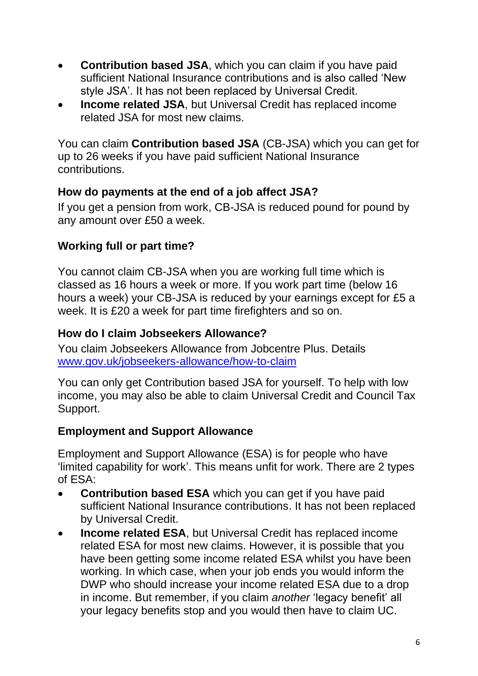- **Contribution based JSA, which you can claim if you have paid** sufficient National Insurance contributions and is also called 'New style JSA'. It has not been replaced by Universal Credit.
- **Income related JSA**, but Universal Credit has replaced income related JSA for most new claims.

You can claim **Contribution based JSA** (CB-JSA) which you can get for up to 26 weeks if you have paid sufficient National Insurance contributions.

#### **How do payments at the end of a job affect JSA?**

If you get a pension from work, CB-JSA is reduced pound for pound by any amount over £50 a week.

#### **Working full or part time?**

You cannot claim CB-JSA when you are working full time which is classed as 16 hours a week or more. If you work part time (below 16 hours a week) your CB-JSA is reduced by your earnings except for £5 a week. It is £20 a week for part time firefighters and so on.

#### **How do I claim Jobseekers Allowance?**

You claim Jobseekers Allowance from Jobcentre Plus. Details [www.gov.uk/jobseekers-allowance/how-to-claim](http://www.gov.uk/jobseekers-allowance/how-to-claim)

You can only get Contribution based JSA for yourself. To help with low income, you may also be able to claim Universal Credit and Council Tax Support.

#### **Employment and Support Allowance**

Employment and Support Allowance (ESA) is for people who have 'limited capability for work'. This means unfit for work. There are 2 types of ESA:

- **Contribution based ESA** which you can get if you have paid sufficient National Insurance contributions. It has not been replaced by Universal Credit.
- **Income related ESA**, but Universal Credit has replaced income related ESA for most new claims. However, it is possible that you have been getting some income related ESA whilst you have been working. In which case, when your job ends you would inform the DWP who should increase your income related ESA due to a drop in income. But remember, if you claim *another* 'legacy benefit' all your legacy benefits stop and you would then have to claim UC.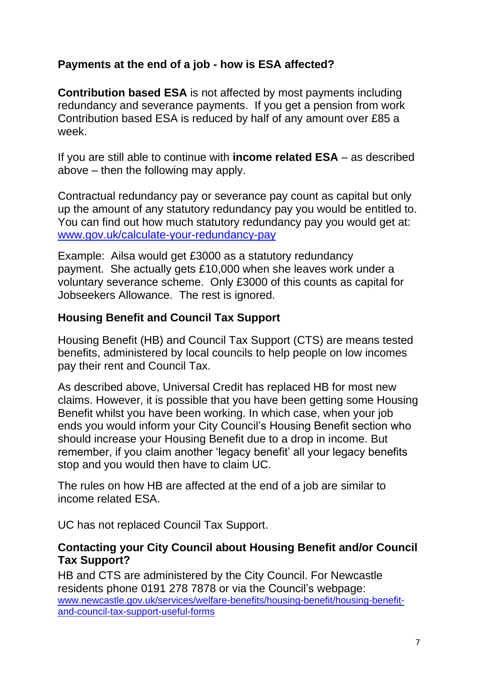#### **Payments at the end of a job - how is ESA affected?**

**Contribution based ESA** is not affected by most payments including redundancy and severance payments. If you get a pension from work Contribution based ESA is reduced by half of any amount over £85 a week.

If you are still able to continue with **income related ESA** – as described above – then the following may apply.

Contractual redundancy pay or severance pay count as capital but only up the amount of any statutory redundancy pay you would be entitled to. You can find out how much statutory redundancy pay you would get at: [www.gov.uk/calculate-your-redundancy-pay](http://www.gov.uk/calculate-your-redundancy-pay)

Example: Ailsa would get £3000 as a statutory redundancy payment. She actually gets £10,000 when she leaves work under a voluntary severance scheme. Only £3000 of this counts as capital for Jobseekers Allowance. The rest is ignored.

#### **Housing Benefit and Council Tax Support**

Housing Benefit (HB) and Council Tax Support (CTS) are means tested benefits, administered by local councils to help people on low incomes pay their rent and Council Tax.

As described above, Universal Credit has replaced HB for most new claims. However, it is possible that you have been getting some Housing Benefit whilst you have been working. In which case, when your job ends you would inform your City Council's Housing Benefit section who should increase your Housing Benefit due to a drop in income. But remember, if you claim another 'legacy benefit' all your legacy benefits stop and you would then have to claim UC.

The rules on how HB are affected at the end of a job are similar to income related ESA.

UC has not replaced Council Tax Support.

#### **Contacting your City Council about Housing Benefit and/or Council Tax Support?**

HB and CTS are administered by the City Council. For Newcastle residents phone 0191 278 7878 or via the Council's webpage: [www.newcastle.gov.uk/services/welfare-benefits/housing-benefit/housing-benefit](http://www.newcastle.gov.uk/services/welfare-benefits/housing-benefit/housing-benefit-and-council-tax-support-useful-forms)[and-council-tax-support-useful-forms](http://www.newcastle.gov.uk/services/welfare-benefits/housing-benefit/housing-benefit-and-council-tax-support-useful-forms)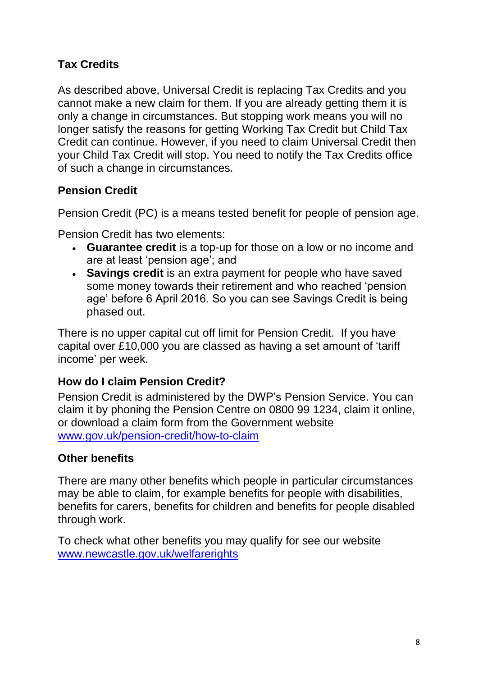#### **Tax Credits**

As described above, Universal Credit is replacing Tax Credits and you cannot make a new claim for them. If you are already getting them it is only a change in circumstances. But stopping work means you will no longer satisfy the reasons for getting Working Tax Credit but Child Tax Credit can continue. However, if you need to claim Universal Credit then your Child Tax Credit will stop. You need to notify the Tax Credits office of such a change in circumstances.

#### **Pension Credit**

Pension Credit (PC) is a means tested benefit for people of pension age.

Pension Credit has two elements:

- **Guarantee credit** is a top-up for those on a low or no income and are at least 'pension age'; and
- **Savings credit** is an extra payment for people who have saved some money towards their retirement and who reached 'pension age' before 6 April 2016. So you can see Savings Credit is being phased out.

There is no upper capital cut off limit for Pension Credit. If you have capital over £10,000 you are classed as having a set amount of 'tariff income' per week.

#### **How do I claim Pension Credit?**

Pension Credit is administered by the DWP's Pension Service. You can claim it by phoning the Pension Centre on 0800 99 1234, claim it online, or download a claim form from the Government website [www.gov.uk/pension-credit/how-to-claim](http://www.gov.uk/pension-credit/how-to-claim)

#### **Other benefits**

There are many other benefits which people in particular circumstances may be able to claim, for example benefits for people with disabilities, benefits for carers, benefits for children and benefits for people disabled through work.

To check what other benefits you may qualify for see our website [www.newcastle.gov.uk/welfarerights](http://www.newcastle.gov.uk/welfarerights)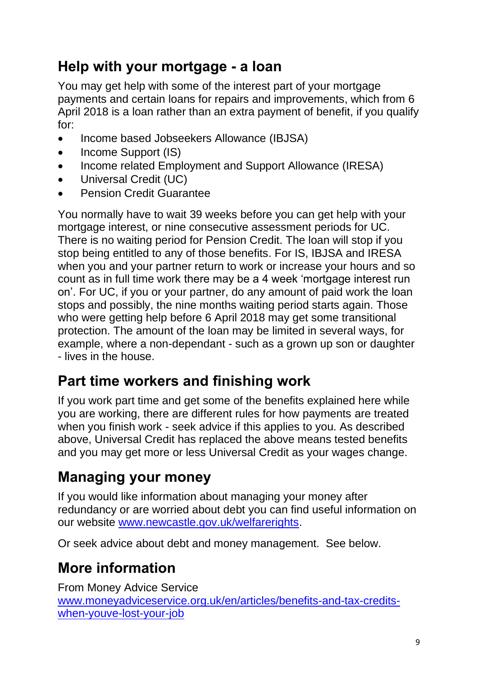# <span id="page-8-0"></span>**Help with your mortgage - a loan**

You may get help with some of the interest part of your mortgage payments and certain loans for repairs and improvements, which from 6 April 2018 is a loan rather than an extra payment of benefit, if you qualify for:

- Income based Jobseekers Allowance (IBJSA)
- Income Support (IS)
- Income related Employment and Support Allowance (IRESA)
- Universal Credit (UC)
- Pension Credit Guarantee

You normally have to wait 39 weeks before you can get help with your mortgage interest, or nine consecutive assessment periods for UC. There is no waiting period for Pension Credit. The loan will stop if you stop being entitled to any of those benefits. For IS, IBJSA and IRESA when you and your partner return to work or increase your hours and so count as in full time work there may be a 4 week 'mortgage interest run on'. For UC, if you or your partner, do any amount of paid work the loan stops and possibly, the nine months waiting period starts again. Those who were getting help before 6 April 2018 may get some transitional protection. The amount of the loan may be limited in several ways, for example, where a non-dependant - such as a grown up son or daughter - lives in the house.

# <span id="page-8-1"></span>**Part time workers and finishing work**

If you work part time and get some of the benefits explained here while you are working, there are different rules for how payments are treated when you finish work - seek advice if this applies to you. As described above, Universal Credit has replaced the above means tested benefits and you may get more or less Universal Credit as your wages change.

# <span id="page-8-2"></span>**Managing your money**

If you would like information about managing your money after redundancy or are worried about debt you can find useful information on our website [www.newcastle.gov.uk/welfarerights.](http://www.newcastle.gov.uk/welfarerights)

Or seek advice about debt and money management. See below.

# <span id="page-8-3"></span>**More information**

From Money Advice Service [www.moneyadviceservice.org.uk/en/articles/benefits-and-tax-credits](http://www.moneyadviceservice.org.uk/en/articles/benefits-and-tax-credits-when-youve-lost-your-job)[when-youve-lost-your-job](http://www.moneyadviceservice.org.uk/en/articles/benefits-and-tax-credits-when-youve-lost-your-job)